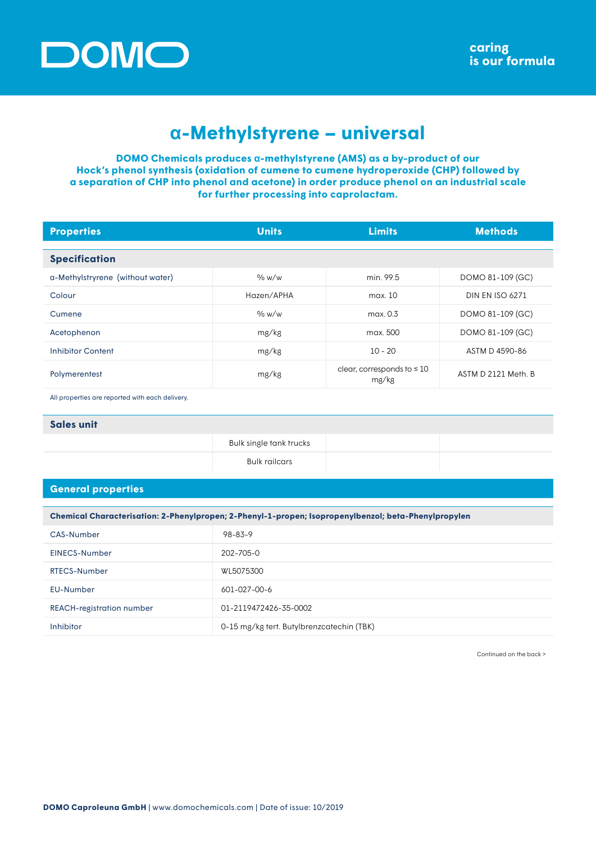

## **α-Methylstyrene – universal**

**DOMO Chemicals produces α-methylstyrene (AMS) as a by-product of our Hock's phenol synthesis (oxidation of cumene to cumene hydroperoxide (CHP) followed by a separation of CHP into phenol and acetone) in order produce phenol on an industrial scale for further processing into caprolactam.**

| <b>Properties</b>                | <b>Units</b> | <b>Limits</b>                            | <b>Methods</b>         |  |
|----------------------------------|--------------|------------------------------------------|------------------------|--|
|                                  |              |                                          |                        |  |
| <b>Specification</b>             |              |                                          |                        |  |
| α-Methylstryrene (without water) | % w/w        | min. 99.5                                | DOMO 81-109 (GC)       |  |
| Colour                           | Hazen/APHA   | max. 10                                  | <b>DIN EN ISO 6271</b> |  |
| Cumene                           | % w/w        | max. 0.3                                 | DOMO 81-109 (GC)       |  |
| Acetophenon                      | mg/kg        | max. 500                                 | DOMO 81-109 (GC)       |  |
| <b>Inhibitor Content</b>         | mg/kg        | $10 - 20$                                | ASTM D 4590-86         |  |
| Polymerentest                    | mg/kg        | clear, corresponds to $\leq 10$<br>mg/kg | ASTM D 2121 Meth. B    |  |

All properties are reported with each delivery.

## **Sales unit**

Bulk single tank trucks

Bulk railcars

## **General properties**

| Chemical Characterisation: 2-Phenylpropen; 2-Phenyl-1-propen; Isopropenylbenzol; beta-Phenylpropylen |                                           |  |  |  |
|------------------------------------------------------------------------------------------------------|-------------------------------------------|--|--|--|
| CAS-Number                                                                                           | 98-83-9                                   |  |  |  |
| EINECS-Number                                                                                        | 202-705-0                                 |  |  |  |
| RTECS-Number                                                                                         | WL5075300                                 |  |  |  |
| <b>EU-Number</b>                                                                                     | $601 - 027 - 00 - 6$                      |  |  |  |
| <b>REACH-registration number</b>                                                                     | 01-2119472426-35-0002                     |  |  |  |
| Inhibitor                                                                                            | 0-15 mg/kg tert. Butylbrenzcatechin (TBK) |  |  |  |

Continued on the back >